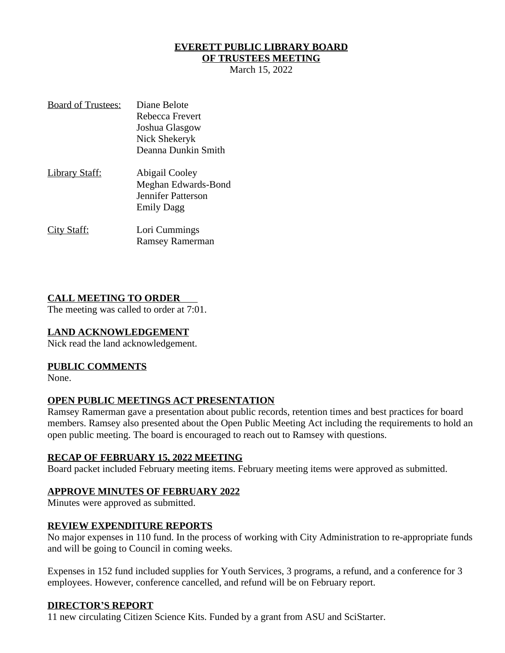## **EVERETT PUBLIC LIBRARY BOARD**

### **OF TRUSTEES MEETING**

March 15, 2022

| <b>Board of Trustees:</b> | Diane Belote           |
|---------------------------|------------------------|
|                           | Rebecca Frevert        |
|                           | Joshua Glasgow         |
|                           | Nick Shekeryk          |
|                           | Deanna Dunkin Smith    |
| <u> Library Staff:</u>    | Abigail Cooley         |
|                           | Meghan Edwards-Bond    |
|                           | Jennifer Patterson     |
|                           | <b>Emily Dagg</b>      |
| <u>City Staff:</u>        | Lori Cummings          |
|                           | <b>Ramsey Ramerman</b> |

### **CALL MEETING TO ORDER**

The meeting was called to order at 7:01.

### **LAND ACKNOWLEDGEMENT**

Nick read the land acknowledgement.

### **PUBLIC COMMENTS**

None.

### **OPEN PUBLIC MEETINGS ACT PRESENTATION**

Ramsey Ramerman gave a presentation about public records, retention times and best practices for board members. Ramsey also presented about the Open Public Meeting Act including the requirements to hold an open public meeting. The board is encouraged to reach out to Ramsey with questions.

#### **RECAP OF FEBRUARY 15, 2022 MEETING**

Board packet included February meeting items. February meeting items were approved as submitted.

### **APPROVE MINUTES OF FEBRUARY 2022**

Minutes were approved as submitted.

### **REVIEW EXPENDITURE REPORTS**

No major expenses in 110 fund. In the process of working with City Administration to re-appropriate funds and will be going to Council in coming weeks.

Expenses in 152 fund included supplies for Youth Services, 3 programs, a refund, and a conference for 3 employees. However, conference cancelled, and refund will be on February report.

### **DIRECTOR'S REPORT**

11 new circulating Citizen Science Kits. Funded by a grant from ASU and SciStarter.